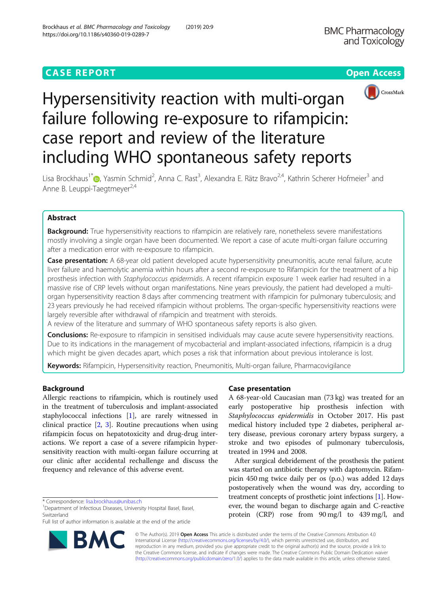## **CASE REPORT CASE ACCESS**





# Hypersensitivity reaction with multi-organ failure following re-exposure to rifampicin: case report and review of the literature including WHO spontaneous safety reports

Lisa Brockhaus<sup>1[\\*](http://orcid.org/0000-0002-0328-8922)</sup>®, Yasmin Schmid<sup>2</sup>, Anna C. Rast<sup>3</sup>, Alexandra E. Rätz Bravo<sup>2,4</sup>, Kathrin Scherer Hofmeier<sup>3</sup> and Anne B. Leuppi-Taegtmeyer<sup>2,4</sup>

## Abstract

**Background:** True hypersensitivity reactions to rifampicin are relatively rare, nonetheless severe manifestations mostly involving a single organ have been documented. We report a case of acute multi-organ failure occurring after a medication error with re-exposure to rifampicin.

Case presentation: A 68-year old patient developed acute hypersensitivity pneumonitis, acute renal failure, acute liver failure and haemolytic anemia within hours after a second re-exposure to Rifampicin for the treatment of a hip prosthesis infection with Staphylococcus epidermidis. A recent rifampicin exposure 1 week earlier had resulted in a massive rise of CRP levels without organ manifestations. Nine years previously, the patient had developed a multiorgan hypersensitivity reaction 8 days after commencing treatment with rifampicin for pulmonary tuberculosis; and 23 years previously he had received rifampicin without problems. The organ-specific hypersensitivity reactions were largely reversible after withdrawal of rifampicin and treatment with steroids.

A review of the literature and summary of WHO spontaneous safety reports is also given.

Conclusions: Re-exposure to rifampicin in sensitised individuals may cause acute severe hypersensitivity reactions. Due to its indications in the management of mycobacterial and implant-associated infections, rifampicin is a drug which might be given decades apart, which poses a risk that information about previous intolerance is lost.

Keywords: Rifampicin, Hypersensitivity reaction, Pneumonitis, Multi-organ failure, Pharmacovigilance

## Background

Allergic reactions to rifampicin, which is routinely used in the treatment of tuberculosis and implant-associated staphylococcal infections [[1\]](#page-4-0), are rarely witnessed in clinical practice [\[2](#page-4-0), [3](#page-4-0)]. Routine precautions when using rifampicin focus on hepatotoxicity and drug-drug interactions. We report a case of a severe rifampicin hypersensitivity reaction with multi-organ failure occurring at our clinic after accidental rechallenge and discuss the frequency and relevance of this adverse event.

Full list of author information is available at the end of the article



## Case presentation

A 68-year-old Caucasian man (73 kg) was treated for an early postoperative hip prosthesis infection with Staphylococcus epidermidis in October 2017. His past medical history included type 2 diabetes, peripheral artery disease, previous coronary artery bypass surgery, a stroke and two episodes of pulmonary tuberculosis, treated in 1994 and 2008.

After surgical debridement of the prosthesis the patient was started on antibiotic therapy with daptomycin. Rifampicin 450 mg twice daily per os (p.o.) was added 12 days postoperatively when the wound was dry, according to treatment concepts of prosthetic joint infections [\[1\]](#page-4-0). However, the wound began to discharge again and C-reactive protein (CRP) rose from 90 mg/l to 439 mg/l, and

© The Author(s). 2019 Open Access This article is distributed under the terms of the Creative Commons Attribution 4.0 International License [\(http://creativecommons.org/licenses/by/4.0/](http://creativecommons.org/licenses/by/4.0/)), which permits unrestricted use, distribution, and reproduction in any medium, provided you give appropriate credit to the original author(s) and the source, provide a link to the Creative Commons license, and indicate if changes were made. The Creative Commons Public Domain Dedication waiver [\(http://creativecommons.org/publicdomain/zero/1.0/](http://creativecommons.org/publicdomain/zero/1.0/)) applies to the data made available in this article, unless otherwise stated.

<sup>\*</sup> Correspondence: [lisa.brockhaus@unibas.ch](mailto:lisa.brockhaus@unibas.ch) <sup>1</sup>

<sup>&</sup>lt;sup>1</sup>Department of Infectious Diseases, University Hospital Basel, Basel, Switzerland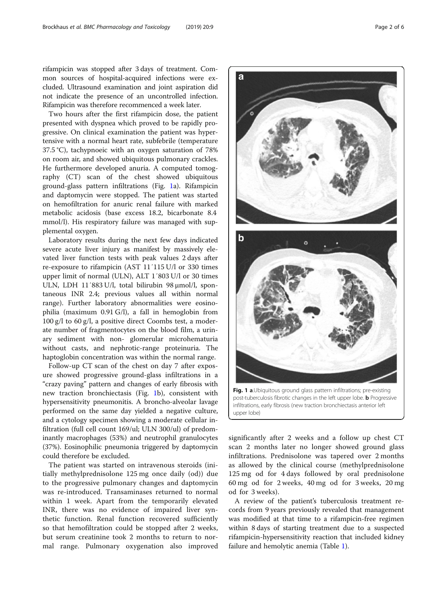rifampicin was stopped after 3 days of treatment. Common sources of hospital-acquired infections were excluded. Ultrasound examination and joint aspiration did not indicate the presence of an uncontrolled infection. Rifampicin was therefore recommenced a week later.

Two hours after the first rifampicin dose, the patient presented with dyspnea which proved to be rapidly progressive. On clinical examination the patient was hypertensive with a normal heart rate, subfebrile (temperature 37.5 °C), tachypnoeic with an oxygen saturation of 78% on room air, and showed ubiquitous pulmonary crackles. He furthermore developed anuria. A computed tomography (CT) scan of the chest showed ubiquitous ground-glass pattern infiltrations (Fig. 1a). Rifampicin and daptomycin were stopped. The patient was started on hemofiltration for anuric renal failure with marked metabolic acidosis (base excess 18.2, bicarbonate 8.4 mmol/l). His respiratory failure was managed with supplemental oxygen.

Laboratory results during the next few days indicated severe acute liver injury as manifest by massively elevated liver function tests with peak values 2 days after re-exposure to rifampicin (AST 11′115 U/l or 330 times upper limit of normal (ULN), ALT 1′803 U/l or 30 times ULN, LDH 11′883 U/l, total bilirubin 98 μmol/l, spontaneous INR 2.4; previous values all within normal range). Further laboratory abnormalities were eosinophilia (maximum 0.91 G/l), a fall in hemoglobin from 100 g/l to 60 g/l, a positive direct Coombs test, a moderate number of fragmentocytes on the blood film, a urinary sediment with non- glomerular microhematuria without casts, and nephrotic-range proteinuria. The haptoglobin concentration was within the normal range.

Follow-up CT scan of the chest on day 7 after exposure showed progressive ground-glass infiltrations in a "crazy paving" pattern and changes of early fibrosis with new traction bronchiectasis (Fig. 1b), consistent with hypersensitivity pneumonitis. A broncho-alveolar lavage performed on the same day yielded a negative culture, and a cytology specimen showing a moderate cellular infiltration (full cell count 169/ul; ULN 300/ul) of predominantly macrophages (53%) and neutrophil granulocytes (37%). Eosinophilic pneumonia triggered by daptomycin could therefore be excluded.

The patient was started on intravenous steroids (initially methylprednisolone 125 mg once daily (od)) due to the progressive pulmonary changes and daptomycin was re-introduced. Transaminases returned to normal within 1 week. Apart from the temporarily elevated INR, there was no evidence of impaired liver synthetic function. Renal function recovered sufficiently so that hemofiltration could be stopped after 2 weeks, but serum creatinine took 2 months to return to normal range. Pulmonary oxygenation also improved



a

Fig. 1 a.Ubiquitous ground glass pattern infiltrations; pre-existing post-tuberculosis fibrotic changes in the left upper lobe. **b** Progressive infiltrations, early fibrosis (new traction bronchiectasis anterior left upper lobe)

significantly after 2 weeks and a follow up chest CT scan 2 months later no longer showed ground glass infiltrations. Prednisolone was tapered over 2 months as allowed by the clinical course (methylprednisolone 125 mg od for 4 days followed by oral prednisolone 60 mg od for 2 weeks, 40 mg od for 3 weeks, 20 mg od for 3 weeks).

A review of the patient's tuberculosis treatment records from 9 years previously revealed that management was modified at that time to a rifampicin-free regimen within 8 days of starting treatment due to a suspected rifampicin-hypersensitivity reaction that included kidney failure and hemolytic anemia (Table [1\)](#page-2-0).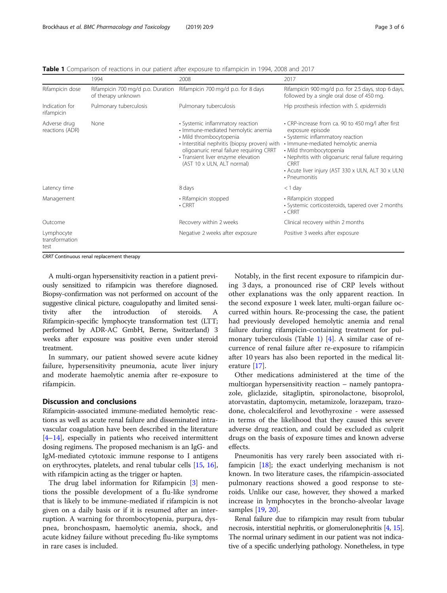<span id="page-2-0"></span>Table 1 Comparison of reactions in our patient after exposure to rifampicin in 1994, 2008 and 2017

|                                      | 1994                                                    | 2008                                                                                                                                                                                                                                                               | 2017                                                                                                                                                                                                                                                                                                                      |
|--------------------------------------|---------------------------------------------------------|--------------------------------------------------------------------------------------------------------------------------------------------------------------------------------------------------------------------------------------------------------------------|---------------------------------------------------------------------------------------------------------------------------------------------------------------------------------------------------------------------------------------------------------------------------------------------------------------------------|
| Rifampicin dose                      | Rifampicin 700 mg/d p.o. Duration<br>of therapy unknown | Rifampicin 700 mg/d p.o. for 8 days                                                                                                                                                                                                                                | Rifampicin 900 mg/d p.o. for 2.5 days, stop 6 days,<br>followed by a single oral dose of 450 mg.                                                                                                                                                                                                                          |
| Indication for<br>rifampicin         | Pulmonary tuberculosis                                  | Pulmonary tuberculosis                                                                                                                                                                                                                                             | Hip prosthesis infection with S. epidermidis                                                                                                                                                                                                                                                                              |
| Adverse drug<br>reactions (ADR)      | None                                                    | • Systemic inflammatory reaction<br>· Immune-mediated hemolytic anemia<br>· Mild thrombocytopenia<br>· Interstitial nephritis (biopsy proven) with<br>oligoanuric renal failure requiring CRRT<br>• Transient liver enzyme elevation<br>(AST 10 x ULN, ALT normal) | • CRP-increase from ca. 90 to 450 mg/l after first<br>exposure episode<br>• Systemic inflammatory reaction<br>· Immune-mediated hemolytic anemia<br>· Mild thrombocytopenia<br>• Nephritis with oligoanuric renal failure requiring<br><b>CRRT</b><br>• Acute liver injury (AST 330 x ULN, ALT 30 x ULN)<br>• Pneumonitis |
| Latency time                         |                                                         | 8 days                                                                                                                                                                                                                                                             | $<$ 1 day                                                                                                                                                                                                                                                                                                                 |
| Management                           |                                                         | • Rifampicin stopped<br>$\cdot$ CRRT                                                                                                                                                                                                                               | • Rifampicin stopped<br>· Systemic corticosteroids, tapered over 2 months<br>$\cdot$ CRRT                                                                                                                                                                                                                                 |
| Outcome                              |                                                         | Recovery within 2 weeks                                                                                                                                                                                                                                            | Clinical recovery within 2 months                                                                                                                                                                                                                                                                                         |
| Lymphocyte<br>transformation<br>test |                                                         | Negative 2 weeks after exposure                                                                                                                                                                                                                                    | Positive 3 weeks after exposure                                                                                                                                                                                                                                                                                           |

CRRT Continuous renal replacement therapy

A multi-organ hypersensitivity reaction in a patient previously sensitized to rifampicin was therefore diagnosed. Biopsy-confirmation was not performed on account of the suggestive clinical picture, coagulopathy and limited sensitivity after the introduction of steroids. A Rifampicin-specific lymphocyte transformation test (LTT; performed by ADR-AC GmbH, Berne, Switzerland) 3 weeks after exposure was positive even under steroid treatment.

In summary, our patient showed severe acute kidney failure, hypersensitivity pneumonia, acute liver injury and moderate haemolytic anemia after re-exposure to rifampicin.

## Discussion and conclusions

Rifampicin-associated immune-mediated hemolytic reactions as well as acute renal failure and disseminated intravascular coagulation have been described in the literature [[4](#page-4-0)–[14](#page-5-0)], especially in patients who received intermittent dosing regimens. The proposed mechanism is an IgG- and IgM-mediated cytotoxic immune response to I antigens on erythrocytes, platelets, and renal tubular cells [[15](#page-5-0), [16](#page-5-0)], with rifampicin acting as the trigger or hapten.

The drug label information for Rifampicin [[3\]](#page-4-0) mentions the possible development of a flu-like syndrome that is likely to be immune-mediated if rifampicin is not given on a daily basis or if it is resumed after an interruption. A warning for thrombocytopenia, purpura, dyspnea, bronchospasm, haemolytic anemia, shock, and acute kidney failure without preceding flu-like symptoms in rare cases is included.

Notably, in the first recent exposure to rifampicin during 3 days, a pronounced rise of CRP levels without other explanations was the only apparent reaction. In the second exposure 1 week later, multi-organ failure occurred within hours. Re-processing the case, the patient had previously developed hemolytic anemia and renal failure during rifampicin-containing treatment for pulmonary tuberculosis (Table 1) [\[4](#page-4-0)]. A similar case of recurrence of renal failure after re-exposure to rifampicin after 10 years has also been reported in the medical literature [[17\]](#page-5-0).

Other medications administered at the time of the multiorgan hypersensitivity reaction – namely pantoprazole, gliclazide, sitagliptin, spironolactone, bisoprolol, atorvastatin, daptomycin, metamizole, lorazepam, trazodone, cholecalciferol and levothyroxine - were assessed in terms of the likelihood that they caused this severe adverse drug reaction, and could be excluded as culprit drugs on the basis of exposure times and known adverse effects.

Pneumonitis has very rarely been associated with rifampicin  $[18]$  $[18]$  $[18]$ ; the exact underlying mechanism is not known. In two literature cases, the rifampicin-associated pulmonary reactions showed a good response to steroids. Unlike our case, however, they showed a marked increase in lymphocytes in the broncho-alveolar lavage samples [\[19,](#page-5-0) [20\]](#page-5-0).

Renal failure due to rifampicin may result from tubular necrosis, interstitial nephritis, or glomerulonephritis [\[4](#page-4-0), [15](#page-5-0)]. The normal urinary sediment in our patient was not indicative of a specific underlying pathology. Nonetheless, in type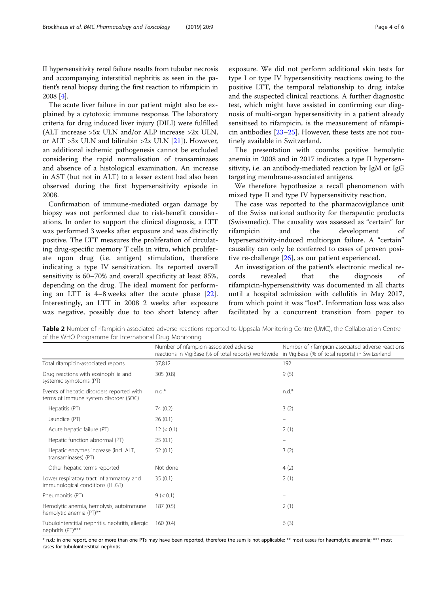<span id="page-3-0"></span>II hypersensitivity renal failure results from tubular necrosis and accompanying interstitial nephritis as seen in the patient's renal biopsy during the first reaction to rifampicin in 2008 [\[4\]](#page-4-0).

The acute liver failure in our patient might also be explained by a cytotoxic immune response. The laboratory criteria for drug induced liver injury (DILI) were fulfilled (ALT increase >5x ULN and/or ALP increase >2x ULN, or ALT  $>3x$  ULN and bilirubin  $>2x$  ULN [\[21](#page-5-0)]). However, an additional ischemic pathogenesis cannot be excluded considering the rapid normalisation of transaminases and absence of a histological examination. An increase in AST (but not in ALT) to a lesser extent had also been observed during the first hypersensitivity episode in 2008.

Confirmation of immune-mediated organ damage by biopsy was not performed due to risk-benefit considerations. In order to support the clinical diagnosis, a LTT was performed 3 weeks after exposure and was distinctly positive. The LTT measures the proliferation of circulating drug-specific memory T cells in vitro, which proliferate upon drug (i.e. antigen) stimulation, therefore indicating a type IV sensitization. Its reported overall sensitivity is 60–70% and overall specificity at least 85%, depending on the drug. The ideal moment for performing an LTT is 4–8 weeks after the acute phase [\[22](#page-5-0)]. Interestingly, an LTT in 2008 2 weeks after exposure was negative, possibly due to too short latency after exposure. We did not perform additional skin tests for type I or type IV hypersensitivity reactions owing to the positive LTT, the temporal relationship to drug intake and the suspected clinical reactions. A further diagnostic test, which might have assisted in confirming our diagnosis of multi-organ hypersensitivity in a patient already sensitised to rifampicin, is the measurement of rifampicin antibodies [\[23](#page-5-0)–[25\]](#page-5-0). However, these tests are not routinely available in Switzerland.

The presentation with coombs positive hemolytic anemia in 2008 and in 2017 indicates a type II hypersensitivity, i.e. an antibody-mediated reaction by IgM or IgG targeting membrane-associated antigens.

We therefore hypothesize a recall phenomenon with mixed type II and type IV hypersensitivity reaction.

The case was reported to the pharmacovigilance unit of the Swiss national authority for therapeutic products (Swissmedic). The causality was assessed as "certain" for rifampicin and the development of hypersensitivity-induced multiorgan failure. A "certain" causality can only be conferred to cases of proven positive re-challenge [\[26](#page-5-0)], as our patient experienced.

An investigation of the patient's electronic medical records revealed that the diagnosis of rifampicin-hypersensitivity was documented in all charts until a hospital admission with cellulitis in May 2017, from which point it was "lost". Information loss was also facilitated by a concurrent transition from paper to

Table 2 Number of rifampicin-associated adverse reactions reported to Uppsala Monitoring Centre (UMC), the Collaboration Centre of the WHO Programme for International Drug Monitoring

|                                                                                    | Number of rifampicin-associated adverse<br>reactions in VigiBase (% of total reports) worldwide | Number of rifampicin-associated adverse reactions<br>in VigiBase (% of total reports) in Switzerland |
|------------------------------------------------------------------------------------|-------------------------------------------------------------------------------------------------|------------------------------------------------------------------------------------------------------|
| Total rifampicin-associated reports                                                | 37,812                                                                                          | 192                                                                                                  |
| Drug reactions with eosinophilia and<br>systemic symptoms (PT)                     | 305(0.8)                                                                                        | 9(5)                                                                                                 |
| Events of hepatic disorders reported with<br>terms of Immune system disorder (SOC) | $n.d.*$                                                                                         | $n.d.*$                                                                                              |
| Hepatitis (PT)                                                                     | 74 (0.2)                                                                                        | 3(2)                                                                                                 |
| Jaundice (PT)                                                                      | 26(0.1)                                                                                         | -                                                                                                    |
| Acute hepatic failure (PT)                                                         | 12 (< 0.1)                                                                                      | 2(1)                                                                                                 |
| Hepatic function abnormal (PT)                                                     | 25(0.1)                                                                                         |                                                                                                      |
| Hepatic enzymes increase (incl. ALT,<br>transaminases) (PT)                        | 52(0.1)                                                                                         | 3(2)                                                                                                 |
| Other hepatic terms reported                                                       | Not done                                                                                        | 4(2)                                                                                                 |
| Lower respiratory tract inflammatory and<br>immunological conditions (HLGT)        | 35(0.1)                                                                                         | 2(1)                                                                                                 |
| Pneumonitis (PT)                                                                   | 9 (< 0.1)                                                                                       |                                                                                                      |
| Hemolytic anemia, hemolysis, autoimmune<br>hemolytic anemia (PT)**                 | 187(0.5)                                                                                        | 2(1)                                                                                                 |
| Tubulointerstitial nephritis, nephritis, allergic<br>nephritis (PT)***             | 160(0.4)                                                                                        | 6(3)                                                                                                 |

\* n.d.: in one report, one or more than one PTs may have been reported, therefore the sum is not applicable; \*\* most cases for haemolytic anaemia; \*\*\* most cases for tubulointerstitial nephritis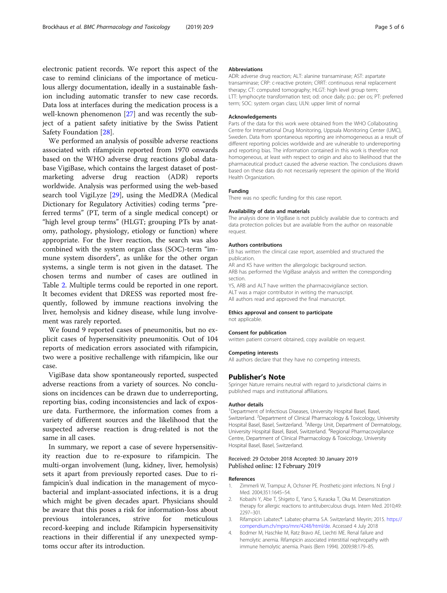<span id="page-4-0"></span>electronic patient records. We report this aspect of the case to remind clinicians of the importance of meticulous allergy documentation, ideally in a sustainable fashion including automatic transfer to new case records. Data loss at interfaces during the medication process is a well-known phenomenon [[27\]](#page-5-0) and was recently the subject of a patient safety initiative by the Swiss Patient Safety Foundation [[28\]](#page-5-0).

We performed an analysis of possible adverse reactions associated with rifampicin reported from 1970 onwards based on the WHO adverse drug reactions global database VigiBase, which contains the largest dataset of postmarketing adverse drug reaction (ADR) reports worldwide. Analysis was performed using the web-based search tool VigiLyze [\[29](#page-5-0)], using the MedDRA (Medical Dictionary for Regulatory Activities) coding terms "preferred terms" (PT, term of a single medical concept) or "high level group terms" (HLGT; grouping PTs by anatomy, pathology, physiology, etiology or function) where appropriate. For the liver reaction, the search was also combined with the system organ class (SOC)-term "immune system disorders", as unlike for the other organ systems, a single term is not given in the dataset. The chosen terms and number of cases are outlined in Table [2.](#page-3-0) Multiple terms could be reported in one report. It becomes evident that DRESS was reported most frequently, followed by immune reactions involving the liver, hemolysis and kidney disease, while lung involvement was rarely reported.

We found 9 reported cases of pneumonitis, but no explicit cases of hypersensitivity pneumonitis. Out of 104 reports of medication errors associated with rifampicin, two were a positive rechallenge with rifampicin, like our case.

VigiBase data show spontaneously reported, suspected adverse reactions from a variety of sources. No conclusions on incidences can be drawn due to underreporting, reporting bias, coding inconsistencies and lack of exposure data. Furthermore, the information comes from a variety of different sources and the likelihood that the suspected adverse reaction is drug-related is not the same in all cases.

In summary, we report a case of severe hypersensitivity reaction due to re-exposure to rifampicin. The multi-organ involvement (lung, kidney, liver, hemolysis) sets it apart from previously reported cases. Due to rifampicin's dual indication in the management of mycobacterial and implant-associated infections, it is a drug which might be given decades apart. Physicians should be aware that this poses a risk for information-loss about previous intolerances, strive for meticulous record-keeping and include Rifampicin hypersensitivity reactions in their differential if any unexpected symptoms occur after its introduction.

#### Abbreviations

ADR: adverse drug reaction; ALT: alanine transaminase; AST: aspartate transaminase; CRP: c-reactive protein; CRRT: continuous renal replacement therapy; CT: computed tomography; HLGT: high level group term; LTT: lymphocyte transformation test; od: once daily; p.o.: per os; PT: preferred term; SOC: system organ class; ULN: upper limit of normal

#### Acknowledgements

Parts of the data for this work were obtained from the WHO Collaborating Centre for International Drug Monitoring, Uppsala Monitoring Center (UMC), Sweden. Data from spontaneous reporting are inhomogeneous as a result of different reporting policies worldwide and are vulnerable to underreporting and reporting bias. The information contained in this work is therefore not homogeneous, at least with respect to origin and also to likelihood that the pharmaceutical product caused the adverse reaction. The conclusions drawn based on these data do not necessarily represent the opinion of the World Health Organization.

#### Funding

There was no specific funding for this case report.

#### Availability of data and materials

The analysis done in VigiBase is not publicly available due to contracts and data protection policies but are available from the author on reasonable request.

#### Authors contributions

LB has written the clinical case report, assembled and structured the publication.

AR and KS have written the allergologic background section.

ARB has performed the VigiBase analysis and written the corresponding section.

YS, ARB and ALT have written the pharmacovigilance section. ALT was a major contributor in writing the manuscript.

All authors read and approved the final manuscript.

### Ethics approval and consent to participate

not applicable.

#### Consent for publication

written patient consent obtained, copy available on request.

#### Competing interests

All authors declare that they have no competing interests.

#### Publisher's Note

Springer Nature remains neutral with regard to jurisdictional claims in published maps and institutional affiliations.

#### Author details

<sup>1</sup> Department of Infectious Diseases, University Hospital Basel, Basel, Switzerland. <sup>2</sup>Department of Clinical Pharmacology & Toxicology, University Hospital Basel, Basel, Switzerland. <sup>3</sup> Allergy Unit, Department of Dermatology, University Hospital Basel, Basel, Switzerland. <sup>4</sup>Regional Pharmacovigilance Centre, Department of Clinical Pharmacology & Toxicology, University Hospital Basel, Basel, Switzerland.

#### Received: 29 October 2018 Accepted: 30 January 2019 Published online: 12 February 2019

#### References

- 1. Zimmerli W, Trampuz A, Ochsner PE. Prosthetic-joint infections. N Engl J Med. 2004;351:1645–54.
- 2. Kobashi Y, Abe T, Shigeto E, Yano S, Kuraoka T, Oka M. Desensitization therapy for allergic reactions to antituberculous drugs. Intern Med. 2010;49: 2297–301.
- 3. Rifampicin Labatec®. Labatec-pharma S.A. Switzerland: Meyrin; 2015. [https://](https://compendium.ch/mpro/mnr/4248/html/de) [compendium.ch/mpro/mnr/4248/html/de.](https://compendium.ch/mpro/mnr/4248/html/de) Accessed 4 July 2018
- 4. Bodmer M, Haschke M, Ratz Bravo AE, Liechti ME. Renal failure and hemolytic anemia. Rifampicin associated interstitial nephropathy with immune hemolytic anemia. Praxis (Bern 1994). 2009;98:179–85.